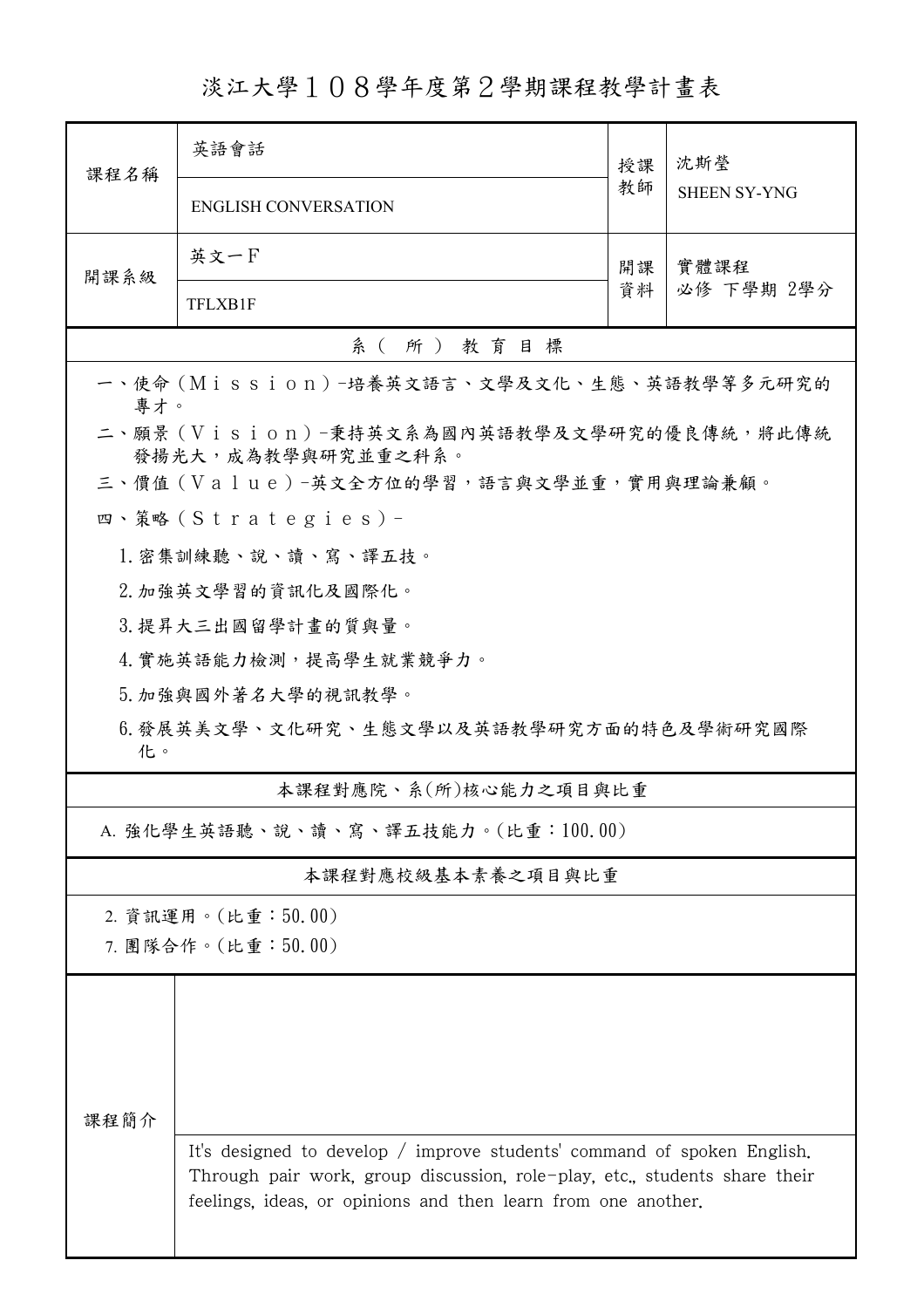淡江大學108學年度第2學期課程教學計畫表

| 課程名稱                                                            | 英語會話                                                                                                                                                                                                                   | 授課 | 沈斯瑩<br><b>SHEEN SY-YNG</b> |  |  |  |  |
|-----------------------------------------------------------------|------------------------------------------------------------------------------------------------------------------------------------------------------------------------------------------------------------------------|----|----------------------------|--|--|--|--|
|                                                                 | <b>ENGLISH CONVERSATION</b>                                                                                                                                                                                            | 教師 |                            |  |  |  |  |
| 開課系級                                                            | 英文一F                                                                                                                                                                                                                   | 開課 | 實體課程<br>必修 下學期 2學分         |  |  |  |  |
|                                                                 | <b>TFLXB1F</b>                                                                                                                                                                                                         | 資料 |                            |  |  |  |  |
| 系(所)教育目標                                                        |                                                                                                                                                                                                                        |    |                            |  |  |  |  |
| 一、使命 (Mission) -培養英文語言、文學及文化、生態、英語教學等多元研究的<br>專才。               |                                                                                                                                                                                                                        |    |                            |  |  |  |  |
| 二、願景 (Vision)-秉持英文系為國內英語教學及文學研究的優良傳統,將此傳統<br>發揚光大,成為教學與研究並重之科系。 |                                                                                                                                                                                                                        |    |                            |  |  |  |  |
|                                                                 | 三、價值 (Value)-英文全方位的學習,語言與文學並重,實用與理論兼顧。                                                                                                                                                                                 |    |                            |  |  |  |  |
|                                                                 | 四、策略 (Strategies) -                                                                                                                                                                                                    |    |                            |  |  |  |  |
| 1. 密集訓練聽、說、讀、寫、譯五技。                                             |                                                                                                                                                                                                                        |    |                            |  |  |  |  |
|                                                                 | 2. 加強英文學習的資訊化及國際化。                                                                                                                                                                                                     |    |                            |  |  |  |  |
|                                                                 | 3. 提昇大三出國留學計畫的質與量。                                                                                                                                                                                                     |    |                            |  |  |  |  |
|                                                                 | 4. 實施英語能力檢測,提高學生就業競爭力。                                                                                                                                                                                                 |    |                            |  |  |  |  |
|                                                                 | 5. 加強與國外著名大學的視訊教學。                                                                                                                                                                                                     |    |                            |  |  |  |  |
| 6. 發展英美文學、文化研究、生態文學以及英語教學研究方面的特色及學術研究國際<br>化。                   |                                                                                                                                                                                                                        |    |                            |  |  |  |  |
|                                                                 | 本課程對應院、系(所)核心能力之項目與比重                                                                                                                                                                                                  |    |                            |  |  |  |  |
| A. 強化學生英語聽、說、讀、寫、譯五技能力。(比重:100.00)                              |                                                                                                                                                                                                                        |    |                            |  |  |  |  |
|                                                                 | 本課程對應校級基本素養之項目與比重                                                                                                                                                                                                      |    |                            |  |  |  |  |
|                                                                 | 2. 資訊運用。(比重:50.00)                                                                                                                                                                                                     |    |                            |  |  |  |  |
| 7. 團隊合作。(比重:50.00)                                              |                                                                                                                                                                                                                        |    |                            |  |  |  |  |
|                                                                 |                                                                                                                                                                                                                        |    |                            |  |  |  |  |
|                                                                 |                                                                                                                                                                                                                        |    |                            |  |  |  |  |
| 课程简介                                                            | It's designed to develop / improve students' command of spoken English.<br>Through pair work, group discussion, role-play, etc., students share their<br>feelings, ideas, or opinions and then learn from one another. |    |                            |  |  |  |  |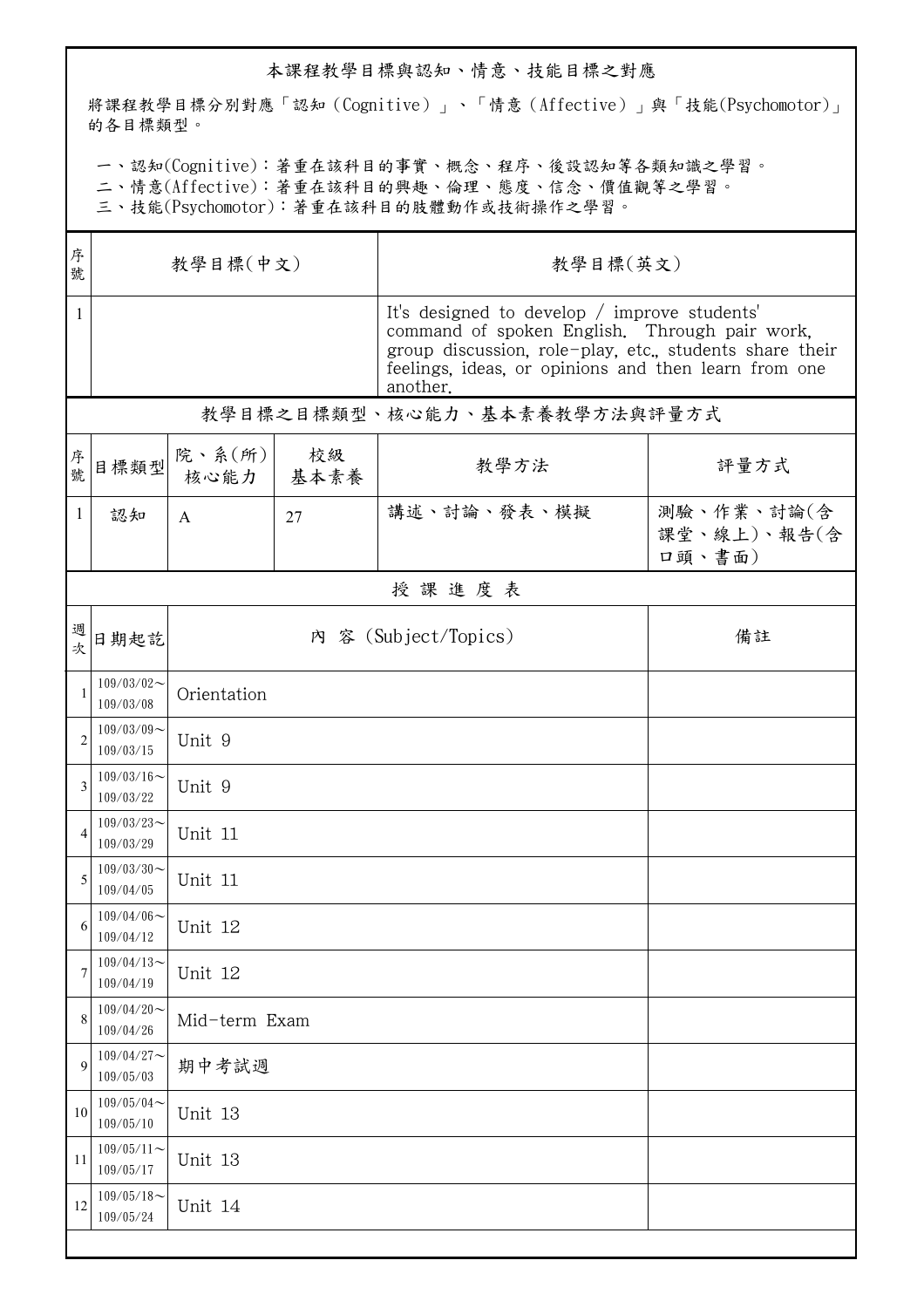## 本課程教學目標與認知、情意、技能目標之對應

將課程教學目標分別對應「認知(Cognitive)」、「情意(Affective)」與「技能(Psychomotor)」 的各目標類型。

一、認知(Cognitive):著重在該科目的事實、概念、程序、後設認知等各類知識之學習。

二、情意(Affective):著重在該科目的興趣、倫理、態度、信念、價值觀等之學習。

三、技能(Psychomotor):著重在該科目的肢體動作或技術操作之學習。

| 序號             | 教學目標(中文)                      |                |            | 教學目標(英文)                                                                                                                                                                                                                     |                                     |  |  |  |
|----------------|-------------------------------|----------------|------------|------------------------------------------------------------------------------------------------------------------------------------------------------------------------------------------------------------------------------|-------------------------------------|--|--|--|
| $\mathbf{1}$   |                               |                |            | It's designed to develop / improve students'<br>command of spoken English. Through pair work,<br>group discussion, role-play, etc., students share their<br>feelings, ideas, or opinions and then learn from one<br>another. |                                     |  |  |  |
|                |                               |                |            | 教學目標之目標類型、核心能力、基本素養教學方法與評量方式                                                                                                                                                                                                 |                                     |  |  |  |
| 序號             | 目標類型                          | 院、系(所)<br>核心能力 | 校級<br>基本素養 | 教學方法                                                                                                                                                                                                                         | 評量方式                                |  |  |  |
| $\mathbf{1}$   | 認知                            | A              | 27         | 講述、討論、發表、模擬                                                                                                                                                                                                                  | 測驗、作業、討論(含<br>課堂、線上)、報告(含<br>口頭、書面) |  |  |  |
| 授課進度表          |                               |                |            |                                                                                                                                                                                                                              |                                     |  |  |  |
| 週次             | 日期起訖                          |                |            | 內 容 (Subject/Topics)                                                                                                                                                                                                         | 備註                                  |  |  |  |
| $\mathbf{1}$   | $109/03/02$ ~<br>109/03/08    | Orientation    |            |                                                                                                                                                                                                                              |                                     |  |  |  |
| $\overline{2}$ | $109/03/09$ ~<br>109/03/15    | Unit 9         |            |                                                                                                                                                                                                                              |                                     |  |  |  |
| 3              | $109/03/16$ ~<br>109/03/22    | Unit 9         |            |                                                                                                                                                                                                                              |                                     |  |  |  |
| 4              | $109/03/23$ ~<br>109/03/29    | Unit 11        |            |                                                                                                                                                                                                                              |                                     |  |  |  |
| 5              | $109/03/30$ ~<br>109/04/05    | Unit 11        |            |                                                                                                                                                                                                                              |                                     |  |  |  |
| 6              | $109/04/06 \sim$<br>109/04/12 | Unit 12        |            |                                                                                                                                                                                                                              |                                     |  |  |  |
| 7              | $109/04/13$ ~<br>109/04/19    | Unit 12        |            |                                                                                                                                                                                                                              |                                     |  |  |  |
| 8              | $109/04/20$ ~<br>109/04/26    | Mid-term Exam  |            |                                                                                                                                                                                                                              |                                     |  |  |  |
| 9              | $109/04/27$ ~<br>109/05/03    | 期中考試週          |            |                                                                                                                                                                                                                              |                                     |  |  |  |
| 10             | $109/05/04$ ~<br>109/05/10    | Unit 13        |            |                                                                                                                                                                                                                              |                                     |  |  |  |
| 11             | $109/05/11$ ~<br>109/05/17    | Unit 13        |            |                                                                                                                                                                                                                              |                                     |  |  |  |
| 12             | $109/05/18$ ~<br>109/05/24    | Unit 14        |            |                                                                                                                                                                                                                              |                                     |  |  |  |
|                |                               |                |            |                                                                                                                                                                                                                              |                                     |  |  |  |